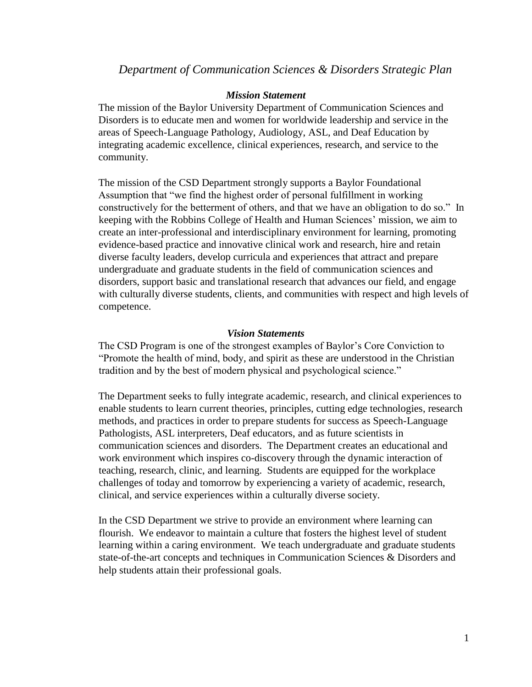# *Department of Communication Sciences & Disorders Strategic Plan*

### *Mission Statement*

The mission of the Baylor University Department of Communication Sciences and Disorders is to educate men and women for worldwide leadership and service in the areas of Speech-Language Pathology, Audiology, ASL, and Deaf Education by integrating academic excellence, clinical experiences, research, and service to the community.

The mission of the CSD Department strongly supports a Baylor Foundational Assumption that "we find the highest order of personal fulfillment in working constructively for the betterment of others, and that we have an obligation to do so." In keeping with the Robbins College of Health and Human Sciences' mission, we aim to create an inter-professional and interdisciplinary environment for learning, promoting evidence-based practice and innovative clinical work and research, hire and retain diverse faculty leaders, develop curricula and experiences that attract and prepare undergraduate and graduate students in the field of communication sciences and disorders, support basic and translational research that advances our field, and engage with culturally diverse students, clients, and communities with respect and high levels of competence.

#### *Vision Statements*

The CSD Program is one of the strongest examples of Baylor's Core Conviction to "Promote the health of mind, body, and spirit as these are understood in the Christian tradition and by the best of modern physical and psychological science."

The Department seeks to fully integrate academic, research, and clinical experiences to enable students to learn current theories, principles, cutting edge technologies, research methods, and practices in order to prepare students for success as Speech-Language Pathologists, ASL interpreters, Deaf educators, and as future scientists in communication sciences and disorders. The Department creates an educational and work environment which inspires co-discovery through the dynamic interaction of teaching, research, clinic, and learning. Students are equipped for the workplace challenges of today and tomorrow by experiencing a variety of academic, research, clinical, and service experiences within a culturally diverse society.

In the CSD Department we strive to provide an environment where learning can flourish. We endeavor to maintain a culture that fosters the highest level of student learning within a caring environment. We teach undergraduate and graduate students state-of-the-art concepts and techniques in Communication Sciences & Disorders and help students attain their professional goals.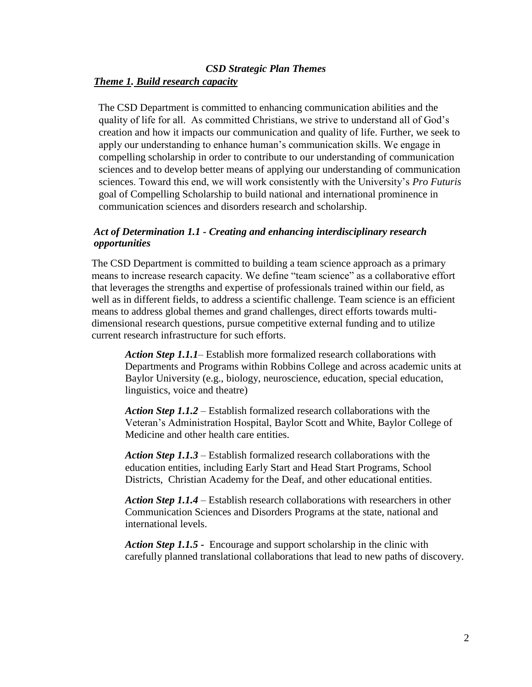# *CSD Strategic Plan Themes Theme 1. Build research capacity*

The CSD Department is committed to enhancing communication abilities and the quality of life for all. As committed Christians, we strive to understand all of God's creation and how it impacts our communication and quality of life. Further, we seek to apply our understanding to enhance human's communication skills. We engage in compelling scholarship in order to contribute to our understanding of communication sciences and to develop better means of applying our understanding of communication sciences. Toward this end, we will work consistently with the University's *Pro Futuris*  goal of Compelling Scholarship to build national and international prominence in communication sciences and disorders research and scholarship.

## *Act of Determination 1.1 - Creating and enhancing interdisciplinary research opportunities*

The CSD Department is committed to building a team science approach as a primary means to increase research capacity. We define "team science" as a collaborative effort that leverages the strengths and expertise of professionals trained within our field, as well as in different fields, to address a scientific challenge. Team science is an efficient means to address global themes and grand challenges, direct efforts towards multidimensional research questions, pursue competitive external funding and to utilize current research infrastructure for such efforts.

*Action Step 1.1.1*– Establish more formalized research collaborations with Departments and Programs within Robbins College and across academic units at Baylor University (e.g., biology, neuroscience, education, special education, linguistics, voice and theatre)

*Action Step 1.1.2* – Establish formalized research collaborations with the Veteran's Administration Hospital, Baylor Scott and White, Baylor College of Medicine and other health care entities.

*Action Step 1.1.3* – Establish formalized research collaborations with the education entities, including Early Start and Head Start Programs, School Districts, Christian Academy for the Deaf, and other educational entities.

*Action Step 1.1.4* – Establish research collaborations with researchers in other Communication Sciences and Disorders Programs at the state, national and international levels.

*Action Step 1.1.5 -* Encourage and support scholarship in the clinic with carefully planned translational collaborations that lead to new paths of discovery.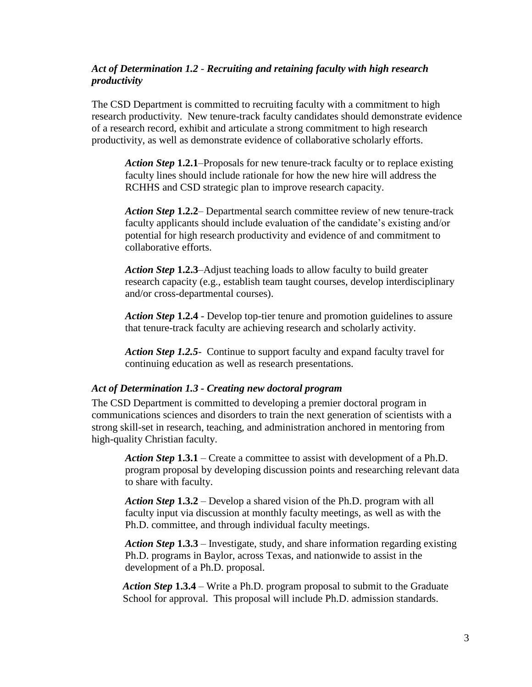# *Act of Determination 1.2* - *Recruiting and retaining faculty with high research productivity*

The CSD Department is committed to recruiting faculty with a commitment to high research productivity. New tenure-track faculty candidates should demonstrate evidence of a research record, exhibit and articulate a strong commitment to high research productivity, as well as demonstrate evidence of collaborative scholarly efforts.

*Action Step* **1.2.1**–Proposals for new tenure-track faculty or to replace existing faculty lines should include rationale for how the new hire will address the RCHHS and CSD strategic plan to improve research capacity.

*Action Step* **1.2.2**– Departmental search committee review of new tenure-track faculty applicants should include evaluation of the candidate's existing and/or potential for high research productivity and evidence of and commitment to collaborative efforts.

*Action Step* **1.2.3**–Adjust teaching loads to allow faculty to build greater research capacity (e.g., establish team taught courses, develop interdisciplinary and/or cross-departmental courses).

*Action Step* **1.2.4** - Develop top-tier tenure and promotion guidelines to assure that tenure-track faculty are achieving research and scholarly activity.

*Action Step 1.2.5*- Continue to support faculty and expand faculty travel for continuing education as well as research presentations.

#### *Act of Determination 1.3 - Creating new doctoral program*

The CSD Department is committed to developing a premier doctoral program in communications sciences and disorders to train the next generation of scientists with a strong skill-set in research, teaching, and administration anchored in mentoring from high-quality Christian faculty.

*Action Step* **1.3.1** – Create a committee to assist with development of a Ph.D. program proposal by developing discussion points and researching relevant data to share with faculty.

*Action Step* **1.3.2** – Develop a shared vision of the Ph.D. program with all faculty input via discussion at monthly faculty meetings, as well as with the Ph.D. committee, and through individual faculty meetings.

*Action Step* **1.3.3** – Investigate, study, and share information regarding existing Ph.D. programs in Baylor, across Texas, and nationwide to assist in the development of a Ph.D. proposal.

*Action Step* **1.3.4** – Write a Ph.D. program proposal to submit to the Graduate School for approval. This proposal will include Ph.D. admission standards.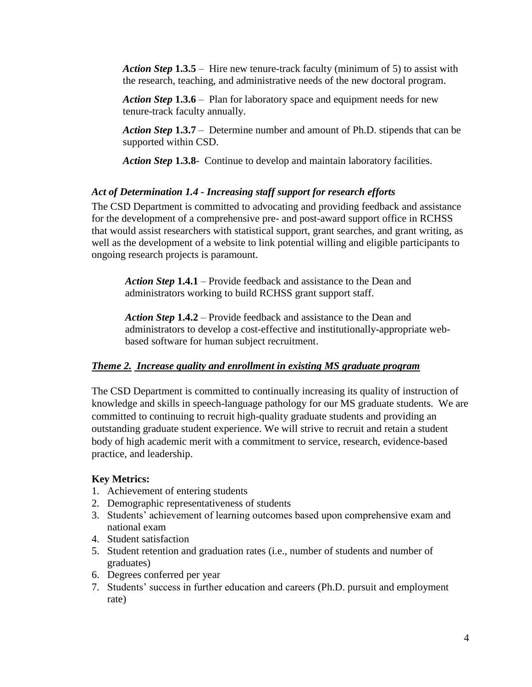*Action Step* **1.3.5** – Hire new tenure-track faculty (minimum of 5) to assist with the research, teaching, and administrative needs of the new doctoral program.

*Action Step* **1.3.6** – Plan for laboratory space and equipment needs for new tenure-track faculty annually.

*Action Step* **1.3.7** – Determine number and amount of Ph.D. stipends that can be supported within CSD.

*Action Step* **1.3.8**- Continue to develop and maintain laboratory facilities.

## *Act of Determination 1.4 - Increasing staff support for research efforts*

The CSD Department is committed to advocating and providing feedback and assistance for the development of a comprehensive pre- and post-award support office in RCHSS that would assist researchers with statistical support, grant searches, and grant writing, as well as the development of a website to link potential willing and eligible participants to ongoing research projects is paramount.

*Action Step* **1.4.1** – Provide feedback and assistance to the Dean and administrators working to build RCHSS grant support staff.

*Action Step* **1.4.2** – Provide feedback and assistance to the Dean and administrators to develop a cost-effective and institutionally-appropriate webbased software for human subject recruitment.

#### *Theme 2. Increase quality and enrollment in existing MS graduate program*

The CSD Department is committed to continually increasing its quality of instruction of knowledge and skills in speech-language pathology for our MS graduate students. We are committed to continuing to recruit high-quality graduate students and providing an outstanding graduate student experience. We will strive to recruit and retain a student body of high academic merit with a commitment to service, research, evidence-based practice, and leadership.

#### **Key Metrics:**

- 1. Achievement of entering students
- 2. Demographic representativeness of students
- 3. Students' achievement of learning outcomes based upon comprehensive exam and national exam
- 4. Student satisfaction
- 5. Student retention and graduation rates (i.e., number of students and number of graduates)
- 6. Degrees conferred per year
- 7. Students' success in further education and careers (Ph.D. pursuit and employment rate)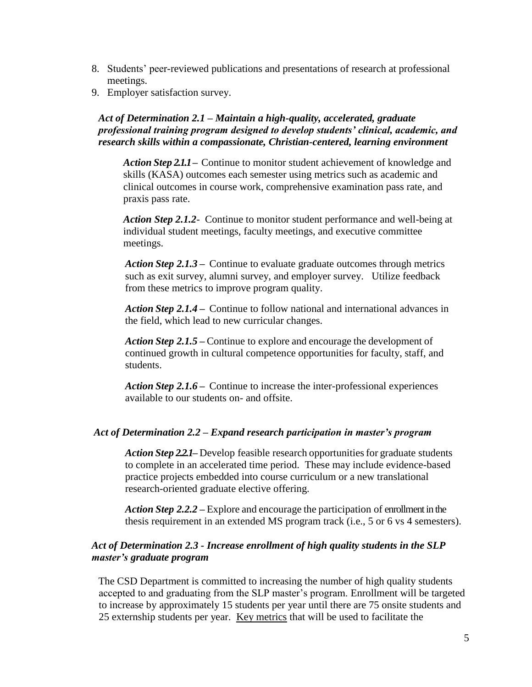- 8. Students' peer-reviewed publications and presentations of research at professional meetings.
- 9. Employer satisfaction survey.

# *Act of Determination 2.1 – Maintain a high-quality, accelerated, graduate professional training program designed to develop students' clinical, academic, and research skills within a compassionate, Christian-centered, learning environment*

*Action Step 2.1.1***–** Continue to monitor student achievement of knowledge and skills (KASA) outcomes each semester using metrics such as academic and clinical outcomes in course work, comprehensive examination pass rate, and praxis pass rate.

*Action Step 2.1.2*- Continue to monitor student performance and well-being at individual student meetings, faculty meetings, and executive committee meetings.

*Action Step 2.1.3* **–** Continue to evaluate graduate outcomes through metrics such as exit survey, alumni survey, and employer survey. Utilize feedback from these metrics to improve program quality.

*Action Step 2.1.4* **–** Continue to follow national and international advances in the field, which lead to new curricular changes.

*Action Step 2.1.5* **–** Continue to explore and encourage the development of continued growth in cultural competence opportunities for faculty, staff, and students.

*Action Step 2.1.6* **–** Continue to increase the inter-professional experiences available to our students on- and offsite.

# *Act of Determination 2.2 – Expand research participation in master's program*

Action *Step* 2.2.1– Develop feasible research opportunities for graduate students to complete in an accelerated time period. These may include evidence-based practice projects embedded into course curriculum or a new translational research-oriented graduate elective offering.

*Action Step 2.2.2* **–** Explore and encourage the participation of enrollment in the thesis requirement in an extended MS program track (i.e., 5 or 6 vs 4 semesters).

# *Act of Determination 2.3 - Increase enrollment of high quality students in the SLP master's graduate program*

The CSD Department is committed to increasing the number of high quality students accepted to and graduating from the SLP master's program. Enrollment will be targeted to increase by approximately 15 students per year until there are 75 onsite students and 25 externship students per year. Key metrics that will be used to facilitate the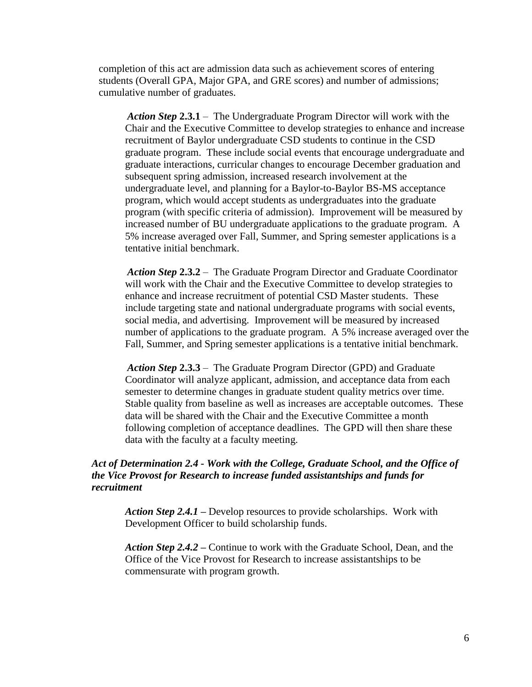completion of this act are admission data such as achievement scores of entering students (Overall GPA, Major GPA, and GRE scores) and number of admissions; cumulative number of graduates.

*Action Step* **2.3.1** – The Undergraduate Program Director will work with the Chair and the Executive Committee to develop strategies to enhance and increase recruitment of Baylor undergraduate CSD students to continue in the CSD graduate program. These include social events that encourage undergraduate and graduate interactions, curricular changes to encourage December graduation and subsequent spring admission, increased research involvement at the undergraduate level, and planning for a Baylor-to-Baylor BS-MS acceptance program, which would accept students as undergraduates into the graduate program (with specific criteria of admission). Improvement will be measured by increased number of BU undergraduate applications to the graduate program. A 5% increase averaged over Fall, Summer, and Spring semester applications is a tentative initial benchmark.

*Action Step* **2.3.2** – The Graduate Program Director and Graduate Coordinator will work with the Chair and the Executive Committee to develop strategies to enhance and increase recruitment of potential CSD Master students. These include targeting state and national undergraduate programs with social events, social media, and advertising. Improvement will be measured by increased number of applications to the graduate program. A 5% increase averaged over the Fall, Summer, and Spring semester applications is a tentative initial benchmark.

*Action Step* **2.3.3** – The Graduate Program Director (GPD) and Graduate Coordinator will analyze applicant, admission, and acceptance data from each semester to determine changes in graduate student quality metrics over time. Stable quality from baseline as well as increases are acceptable outcomes. These data will be shared with the Chair and the Executive Committee a month following completion of acceptance deadlines. The GPD will then share these data with the faculty at a faculty meeting.

# *Act of Determination 2.4 - Work with the College, Graduate School, and the Office of the Vice Provost for Research to increase funded assistantships and funds for recruitment*

*Action Step 2.4.1* **–** Develop resources to provide scholarships. Work with Development Officer to build scholarship funds.

*Action Step 2.4.2* **–** Continue to work with the Graduate School, Dean, and the Office of the Vice Provost for Research to increase assistantships to be commensurate with program growth.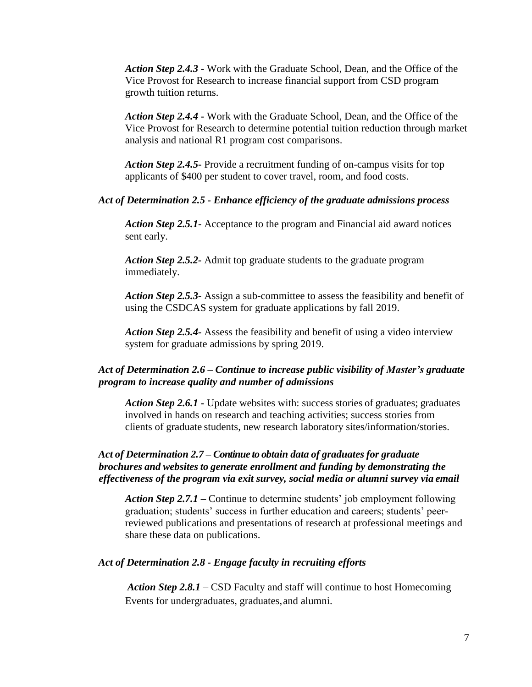*Action Step 2.4.3* **-** Work with the Graduate School, Dean, and the Office of the Vice Provost for Research to increase financial support from CSD program growth tuition returns.

*Action Step 2.4.4* **-** Work with the Graduate School, Dean, and the Office of the Vice Provost for Research to determine potential tuition reduction through market analysis and national R1 program cost comparisons.

*Action Step 2.4.5***-** Provide a recruitment funding of on-campus visits for top applicants of \$400 per student to cover travel, room, and food costs.

#### *Act of Determination 2.5 - Enhance efficiency of the graduate admissions process*

*Action Step 2.5.1***-** Acceptance to the program and Financial aid award notices sent early.

*Action Step 2.5.2-* Admit top graduate students to the graduate program immediately.

*Action Step 2.5.3-* Assign a sub-committee to assess the feasibility and benefit of using the CSDCAS system for graduate applications by fall 2019.

*Action Step 2.5.4-* Assess the feasibility and benefit of using a video interview system for graduate admissions by spring 2019.

## *Act of Determination 2.6 – Continue to increase public visibility of Master's graduate program to increase quality and number of admissions*

*Action Step 2.6.1* **-** Update websites with: success stories of graduates; graduates involved in hands on research and teaching activities; success stories from clients of graduate students, new research laboratory sites/information/stories.

### *Act of Determination 2.7 – Continue to obtain data of graduates for graduate brochures and websites to generate enrollment and funding by demonstrating the effectiveness of the program via exit survey, social media or alumni survey via email*

*Action Step 2.7.1* **–** Continue to determine students' job employment following graduation; students' success in further education and careers; students' peerreviewed publications and presentations of research at professional meetings and share these data on publications.

#### *Act of Determination 2.8 - Engage faculty in recruiting efforts*

*Action Step 2.8.1* – CSD Faculty and staff will continue to host Homecoming Events for undergraduates, graduates,and alumni.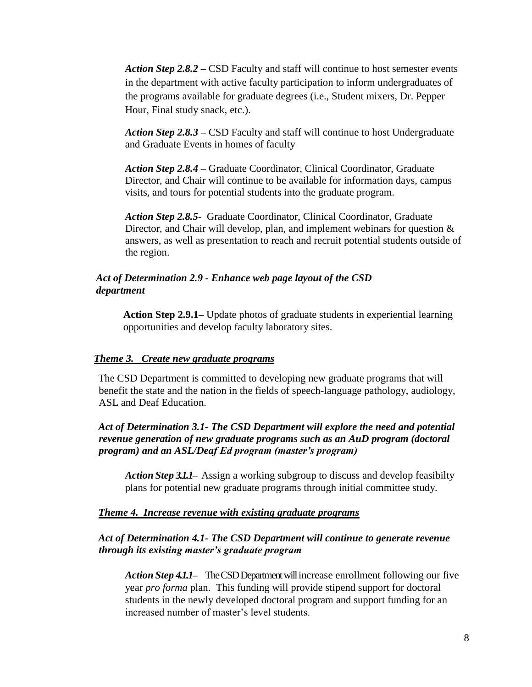*Action Step 2.8.2* **–** CSD Faculty and staff will continue to host semester events in the department with active faculty participation to inform undergraduates of the programs available for graduate degrees (i.e., Student mixers, Dr. Pepper Hour, Final study snack, etc.).

*Action Step 2.8.3* **–** CSD Faculty and staff will continue to host Undergraduate and Graduate Events in homes of faculty

*Action Step 2.8.4* **–** Graduate Coordinator, Clinical Coordinator, Graduate Director, and Chair will continue to be available for information days, campus visits, and tours for potential students into the graduate program.

*Action Step 2.8.5*- Graduate Coordinator, Clinical Coordinator, Graduate Director, and Chair will develop, plan, and implement webinars for question  $\&$ answers, as well as presentation to reach and recruit potential students outside of the region.

#### *Act of Determination 2.9 - Enhance web page layout of the CSD department*

**Action Step 2.9.1–** Update photos of graduate students in experiential learning opportunities and develop faculty laboratory sites.

#### *Theme 3. Create new graduate programs*

The CSD Department is committed to developing new graduate programs that will benefit the state and the nation in the fields of speech-language pathology, audiology, ASL and Deaf Education.

### *Act of Determination 3.1- The CSD Department will explore the need and potential revenue generation of new graduate programs such as an AuD program (doctoral program) and an ASL/Deaf Ed program (master's program)*

*Action Step 3.1.1***–** Assign a working subgroup to discuss and develop feasibilty plans for potential new graduate programs through initial committee study.

#### *Theme 4. Increase revenue with existing graduate programs*

## *Act of Determination 4.1- The CSD Department will continue to generate revenue through its existing master's graduate program*

*Action Step 4.1.1***–** The CSD Department will increase enrollment following our five year *pro forma* plan. This funding will provide stipend support for doctoral students in the newly developed doctoral program and support funding for an increased number of master's level students.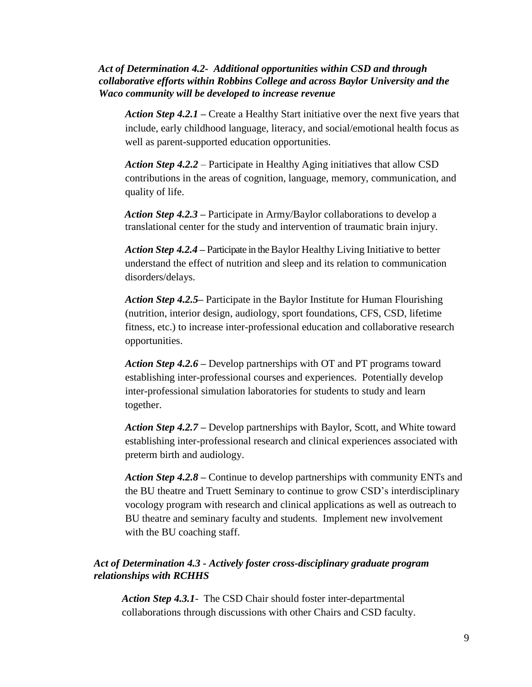# *Act of Determination 4.2- Additional opportunities within CSD and through collaborative efforts within Robbins College and across Baylor University and the Waco community will be developed to increase revenue*

*Action Step 4.2.1* **–** Create a Healthy Start initiative over the next five years that include, early childhood language, literacy, and social/emotional health focus as well as parent-supported education opportunities.

*Action Step 4.2.2* – Participate in Healthy Aging initiatives that allow CSD contributions in the areas of cognition, language, memory, communication, and quality of life.

*Action Step 4.2.3* **–** Participate in Army/Baylor collaborations to develop a translational center for the study and intervention of traumatic brain injury.

*Action Step 4.2.4* **–** Participate in the Baylor Healthy Living Initiative to better understand the effect of nutrition and sleep and its relation to communication disorders/delays.

*Action Step 4.2.5***–** Participate in the Baylor Institute for Human Flourishing (nutrition, interior design, audiology, sport foundations, CFS, CSD, lifetime fitness, etc.) to increase inter-professional education and collaborative research opportunities.

*Action Step 4.2.6* **–** Develop partnerships with OT and PT programs toward establishing inter-professional courses and experiences. Potentially develop inter-professional simulation laboratories for students to study and learn together.

*Action Step 4.2.7* **–** Develop partnerships with Baylor, Scott, and White toward establishing inter-professional research and clinical experiences associated with preterm birth and audiology.

*Action Step 4.2.8* **–** Continue to develop partnerships with community ENTs and the BU theatre and Truett Seminary to continue to grow CSD's interdisciplinary vocology program with research and clinical applications as well as outreach to BU theatre and seminary faculty and students. Implement new involvement with the BU coaching staff.

# *Act of Determination 4.3 - Actively foster cross-disciplinary graduate program relationships with RCHHS*

*Action Step 4.3.1*- The CSD Chair should foster inter-departmental collaborations through discussions with other Chairs and CSD faculty.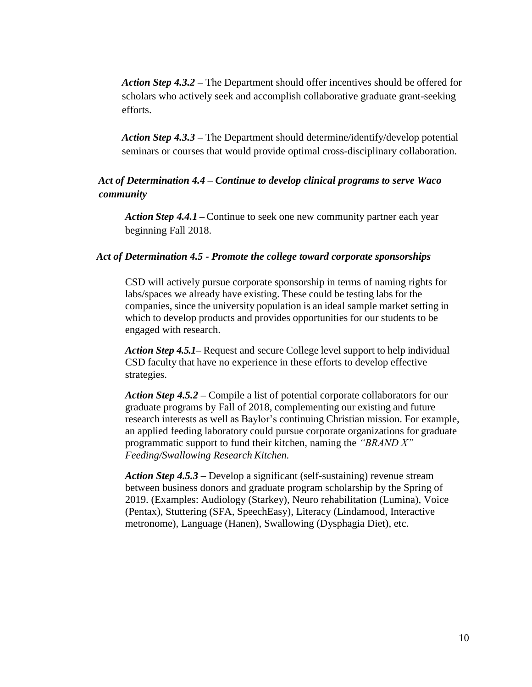*Action Step 4.3.2* **–** The Department should offer incentives should be offered for scholars who actively seek and accomplish collaborative graduate grant-seeking efforts.

*Action Step 4.3.3* **–** The Department should determine/identify/develop potential seminars or courses that would provide optimal cross-disciplinary collaboration.

# *Act of Determination 4.4 – Continue to develop clinical programs to serve Waco community*

*Action Step 4.4.1* **–** Continue to seek one new community partner each year beginning Fall 2018.

#### *Act of Determination 4.5 - Promote the college toward corporate sponsorships*

CSD will actively pursue corporate sponsorship in terms of naming rights for labs/spaces we already have existing. These could be testing labs for the companies, since the university population is an ideal sample market setting in which to develop products and provides opportunities for our students to be engaged with research.

*Action Step 4.5.1–* Request and secure College level support to help individual CSD faculty that have no experience in these efforts to develop effective strategies.

*Action Step 4.5.2* **–** Compile a list of potential corporate collaborators for our graduate programs by Fall of 2018, complementing our existing and future research interests as well as Baylor's continuing Christian mission. For example, an applied feeding laboratory could pursue corporate organizations for graduate programmatic support to fund their kitchen, naming the *"BRAND X" Feeding/Swallowing Research Kitchen.*

*Action Step 4.5.3* **–** Develop a significant (self-sustaining) revenue stream between business donors and graduate program scholarship by the Spring of 2019. (Examples: Audiology (Starkey), Neuro rehabilitation (Lumina), Voice (Pentax), Stuttering (SFA, SpeechEasy), Literacy (Lindamood, Interactive metronome), Language (Hanen), Swallowing (Dysphagia Diet), etc.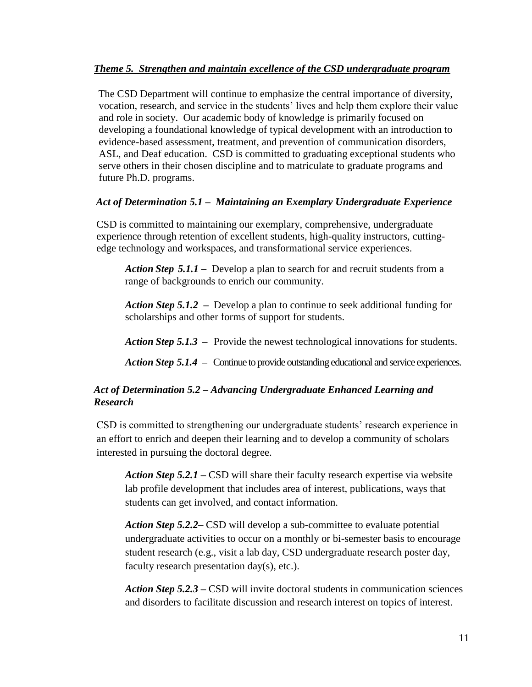# *Theme 5. Strengthen and maintain excellence of the CSD undergraduate program*

The CSD Department will continue to emphasize the central importance of diversity, vocation, research, and service in the students' lives and help them explore their value and role in society. Our academic body of knowledge is primarily focused on developing a foundational knowledge of typical development with an introduction to evidence-based assessment, treatment, and prevention of communication disorders, ASL, and Deaf education. CSD is committed to graduating exceptional students who serve others in their chosen discipline and to matriculate to graduate programs and future Ph.D. programs.

# *Act of Determination 5.1 – Maintaining an Exemplary Undergraduate Experience*

CSD is committed to maintaining our exemplary, comprehensive, undergraduate experience through retention of excellent students, high-quality instructors, cuttingedge technology and workspaces, and transformational service experiences.

*Action Step 5.1.1* **–** Develop a plan to search for and recruit students from a range of backgrounds to enrich our community.

*Action Step 5.1.2* **–** Develop a plan to continue to seek additional funding for scholarships and other forms of support for students.

*Action Step 5.1.3* **–** Provide the newest technological innovations for students.

*Action Step 5.1.4* **–** Continue to provide outstanding educational and service experiences.

# *Act of Determination 5.2 – Advancing Undergraduate Enhanced Learning and Research*

CSD is committed to strengthening our undergraduate students' research experience in an effort to enrich and deepen their learning and to develop a community of scholars interested in pursuing the doctoral degree.

*Action Step 5.2.1* **–** CSD will share their faculty research expertise via website lab profile development that includes area of interest, publications, ways that students can get involved, and contact information.

*Action Step 5.2.2–* CSD will develop a sub-committee to evaluate potential undergraduate activities to occur on a monthly or bi-semester basis to encourage student research (e.g., visit a lab day, CSD undergraduate research poster day, faculty research presentation day(s), etc.).

*Action Step 5.2.3* **–** CSD will invite doctoral students in communication sciences and disorders to facilitate discussion and research interest on topics of interest.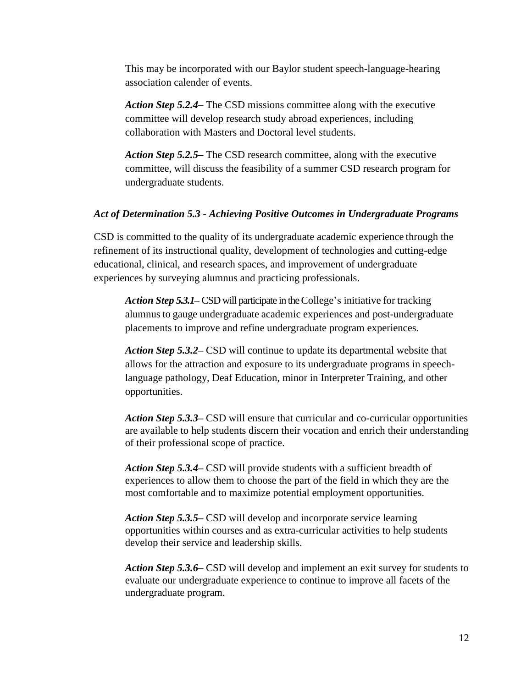This may be incorporated with our Baylor student speech-language-hearing association calender of events.

*Action Step 5.2.4***–** The CSD missions committee along with the executive committee will develop research study abroad experiences, including collaboration with Masters and Doctoral level students.

*Action Step 5.2.5***–** The CSD research committee, along with the executive committee, will discuss the feasibility of a summer CSD research program for undergraduate students.

#### *Act of Determination 5.3 - Achieving Positive Outcomes in Undergraduate Programs*

CSD is committed to the quality of its undergraduate academic experience through the refinement of its instructional quality, development of technologies and cutting-edge educational, clinical, and research spaces, and improvement of undergraduate experiences by surveying alumnus and practicing professionals.

*Action Step 5.3.1***–** CSD will participate in the College's initiative for tracking alumnus to gauge undergraduate academic experiences and post-undergraduate placements to improve and refine undergraduate program experiences.

*Action Step 5.3.2***–** CSD will continue to update its departmental website that allows for the attraction and exposure to its undergraduate programs in speechlanguage pathology, Deaf Education, minor in Interpreter Training, and other opportunities.

*Action Step 5.3.3***–** CSD will ensure that curricular and co-curricular opportunities are available to help students discern their vocation and enrich their understanding of their professional scope of practice.

*Action Step 5.3.4***–** CSD will provide students with a sufficient breadth of experiences to allow them to choose the part of the field in which they are the most comfortable and to maximize potential employment opportunities.

*Action Step 5.3.5***–** CSD will develop and incorporate service learning opportunities within courses and as extra-curricular activities to help students develop their service and leadership skills.

*Action Step 5.3.6***–** CSD will develop and implement an exit survey for students to evaluate our undergraduate experience to continue to improve all facets of the undergraduate program.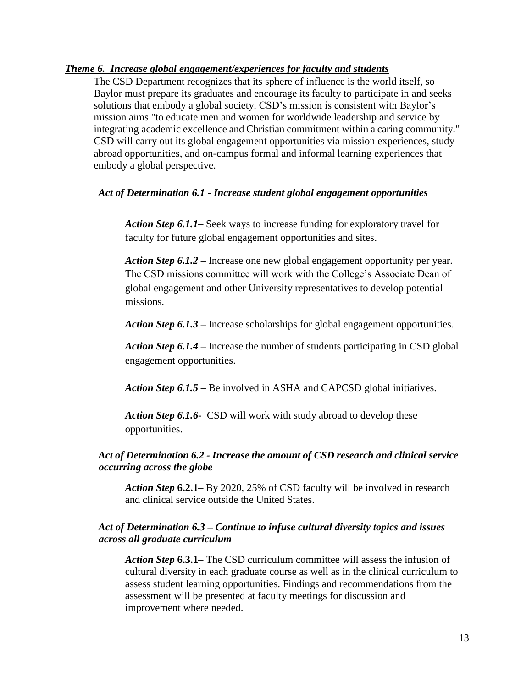# *Theme 6. Increase global engagement/experiences for faculty and students*

The CSD Department recognizes that its sphere of influence is the world itself, so Baylor must prepare its graduates and encourage its faculty to participate in and seeks solutions that embody a global society. CSD's mission is consistent with Baylor's mission aims "to educate men and women for worldwide leadership and service by integrating academic excellence and Christian commitment within a caring community." CSD will carry out its global engagement opportunities via mission experiences, study abroad opportunities, and on-campus formal and informal learning experiences that embody a global perspective.

## *Act of Determination 6.1 - Increase student global engagement opportunities*

*Action Step 6.1.1***–** Seek ways to increase funding for exploratory travel for faculty for future global engagement opportunities and sites.

*Action Step 6.1.2* **–** Increase one new global engagement opportunity per year. The CSD missions committee will work with the College's Associate Dean of global engagement and other University representatives to develop potential missions.

*Action Step 6.1.3* **–** Increase scholarships for global engagement opportunities.

*Action Step 6.1.4* **–** Increase the number of students participating in CSD global engagement opportunities.

*Action Step 6.1.5* **–** Be involved in ASHA and CAPCSD global initiatives.

*Action Step 6.1.6***-** CSD will work with study abroad to develop these opportunities.

# *Act of Determination 6.2 - Increase the amount of CSD research and clinical service occurring across the globe*

*Action Step* **6.2.1–** By 2020, 25% of CSD faculty will be involved in research and clinical service outside the United States.

# *Act of Determination 6.3 – Continue to infuse cultural diversity topics and issues across all graduate curriculum*

*Action Step* **6.3.1–** The CSD curriculum committee will assess the infusion of cultural diversity in each graduate course as well as in the clinical curriculum to assess student learning opportunities. Findings and recommendations from the assessment will be presented at faculty meetings for discussion and improvement where needed.